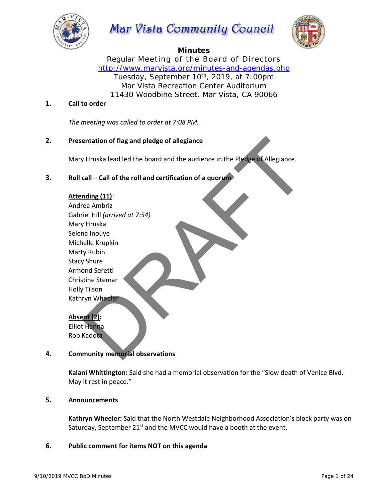

# Mar Vista Community Council



## **Minutes**

Regular Meeting of the Board of Directors *http://www.marvista.org/minutes-and-agendas.php*  Tuesday, September 10<sup>th</sup>, 2019, at 7:00pm Mar Vista Recreation Center Auditorium 11430 Woodbine Street, Mar Vista, CA 90066

## **1. Call to order**

*The meeting was called to order at 7:08 PM.*

## **2. Presentation of flag and pledge of allegiance**

Mary Hruska lead led the board and the audience in the Pledge of Allegiance.

## **3. Roll call – Call of the roll and certification of a quorum**

## **Attending (11)**:

 Andrea Ambriz Gabriel Hill *(arrived at 7:54)* Mary Hruska Selena Inouye Michelle Krupkin Marty Rubin Stacy Shure Armond Seretti Christine Stemar Holly Tilson Kathryn Wheeler

## **Absent (2):**

 Elliot Hanna Rob Kadota

## **4. Community memorial observations**

 **Kalani Whittington:** Said she had a memorial observation for the "Slow death of Venice Blvd. May it rest in peace."

## **5. Announcements**

 **Kathryn Wheeler:** Said that the North Westdale Neighborhood Association's block party was on Saturday, September  $21^{st}$  and the MVCC would have a booth at the event.

## **6. Public comment for items NOT on this agenda**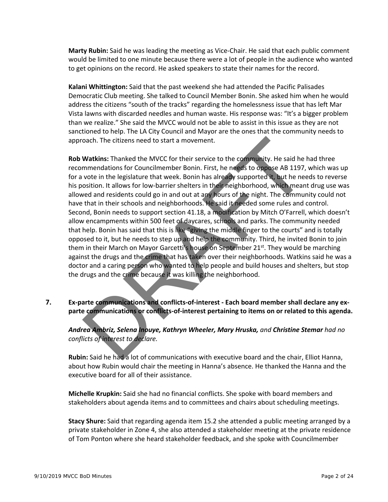**Marty Rubin:** Said he was leading the meeting as Vice‐Chair. He said that each public comment would be limited to one minute because there were a lot of people in the audience who wanted to get opinions on the record. He asked speakers to state their names for the record.

 **Kalani Whittington:** Said that the past weekend she had attended the Pacific Palisades Democratic Club meeting. She talked to Council Member Bonin. She asked him when he would address the citizens "south of the tracks" regarding the homelessness issue that has left Mar Vista lawns with discarded needles and human waste. His response was: "It's a bigger problem than we realize." She said the MVCC would not be able to assist in this issue as they are not sanctioned to help. The LA City Council and Mayor are the ones that the community needs to approach. The citizens need to start a movement.

 **Rob Watkins:** Thanked the MVCC for their service to the community. He said he had three recommendations for Councilmember Bonin. First, he needs to oppose AB 1197, which was up for a vote in the legislature that week. Bonin has already supported it, but he needs to reverse his position. It allows for low-barrier shelters in their neighborhood, which meant drug use was allowed and residents could go in and out at any hours of the night. The community could not have that in their schools and neighborhoods. He said it needed some rules and control. Second, Bonin needs to support section 41.18, a modification by Mitch O'Farrell, which doesn't allow encampments within 500 feet of daycares, schools and parks. The community needed that help. Bonin has said that this is like "giving the middle finger to the courts" and is totally opposed to it, but he needs to step up and help the community. Third, he invited Bonin to join them in their March on Mayor Garcetti's house on September  $21^{st}$ . They would be marching against the drugs and the crime that has taken over their neighborhoods. Watkins said he was a doctor and a caring person who wanted to help people and build houses and shelters, but stop the drugs and the crime because it was killing the neighborhood.

7. Ex-parte communications and conflicts-of-interest - Each board member shall declare any ex**parte communications or conflicts‐of‐interest pertaining to items on or related to this agenda.**

 *Andrea Ambriz, Selena Inouye, Kathryn Wheeler, Mary Hruska, and Christine Stemar had no conflicts of interest to declare.*

 **Rubin:** Said he had a lot of communications with executive board and the chair, Elliot Hanna, about how Rubin would chair the meeting in Hanna's absence. He thanked the Hanna and the executive board for all of their assistance.

 **Michelle Krupkin:** Said she had no financial conflicts. She spoke with board members and stakeholders about agenda items and to committees and chairs about scheduling meetings.

 **Stacy Shure:** Said that regarding agenda item 15.2 she attended a public meeting arranged by a private stakeholder in Zone 4, she also attended a stakeholder meeting at the private residence of Tom Ponton where she heard stakeholder feedback, and she spoke with Councilmember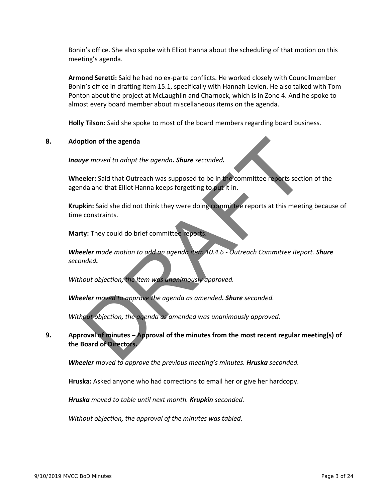Bonin's office. She also spoke with Elliot Hanna about the scheduling of that motion on this meeting's agenda.

 **Armond Seretti:** Said he had no ex‐parte conflicts. He worked closely with Councilmember Bonin's office in drafting item 15.1, specifically with Hannah Levien. He also talked with Tom Ponton about the project at McLaughlin and Charnock, which is in Zone 4. And he spoke to almost every board member about miscellaneous items on the agenda.

**Holly Tilson:** Said she spoke to most of the board members regarding board business.

## **8. Adoption of the agenda**

*Inouye moved to adopt the agenda. Shure seconded.* 

 **Wheeler:** Said that Outreach was supposed to be in the committee reports section of the agenda and that Elliot Hanna keeps forgetting to put it in.

 **Krupkin:** Said she did not think they were doing committee reports at this meeting because of time constraints.

**Marty:** They could do brief committee reports.

 *Wheeler made motion to add an agenda item 10.4.6 ‐ Outreach Committee Report. Shure seconded.*

*Without objection, the item was unanimously approved.*

*Wheeler moved to approve the agenda as amended. Shure seconded.* 

*Without objection, the agenda as amended was unanimously approved.*

## **9. Approval of minutes – Approval of the minutes from the most recent regular meeting(s) of the Board of Directors.**

*Wheeler moved to approve the previous meeting's minutes. Hruska seconded.* 

**Hruska:** Asked anyone who had corrections to email her or give her hardcopy.

*Hruska moved to table until next month. Krupkin seconded.*

*Without objection, the approval of the minutes was tabled.*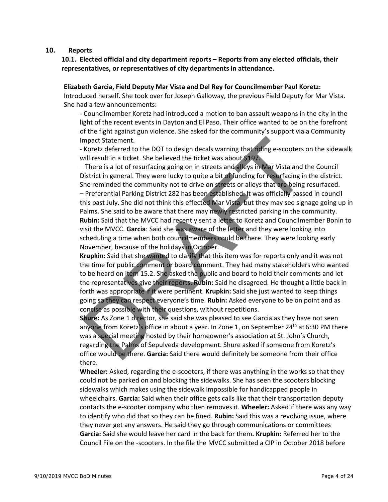## **10. Reports**

## **10.1. Elected official and city department reports – Reports from any elected officials, their representatives, or representatives of city departments in attendance.**

#### **Elizabeth Garcia, Field Deputy Mar Vista and Del Rey for Councilmember Paul Koretz:**

Introduced herself. She took over for Joseph Galloway, the previous Field Deputy for Mar Vista. She had a few announcements:

- Councilmember Koretz had introduced a motion to ban assault weapons in the city in the light of the recent events in Dayton and El Paso. Their office wanted to be on the forefront of the fight against gun violence. She asked for the community's support via a Community Impact Statement.

- Koretz deferred to the DOT to design decals warning that riding e-scooters on the sidewalk will result in a ticket. She believed the ticket was about \$197.

- There is a lot of resurfacing going on in streets and alleys in Mar Vista and the Council District in general. They were lucky to quite a bit of funding for resurfacing in the district. She reminded the community not to drive on streets or alleys that are being resurfaced. - Preferential Parking District 282 has been established. It was officially passed in council this past July. She did not think this effected Mar Vista, but they may see signage going up in Palms. She said to be aware that there may newly restricted parking in the community. Rubin: Said that the MVCC had recently sent a letter to Koretz and Councilmember Bonin to visit the MVCC. **Garcia**: Said she was aware of the letter and they were looking into scheduling a time when both councilmembers could be there. They were looking early November, because of the holidays in October.

o **Krupkin:** Said that she wanted to clarify that this item was for reports only and it was not the time for public comment or board comment. They had many stakeholders who wanted to be heard on item 15.2. She asked the public and board to hold their comments and let the representatives give their reports. **Rubin:** Said he disagreed. He thought a little back in forth was appropriate if it were pertinent. **Krupkin:** Said she just wanted to keep things going so they can respect everyone's time. **Rubin:** Asked everyone to be on point and as concise as possible with their questions, without repetitions.

**Shure:** As Zone 1 director, she said she was pleased to see Garcia as they have not seen anyone from Koretz's office in about a year. In Zone 1, on September  $24<sup>th</sup>$  at 6:30 PM there was a special meeting hosted by their homeowner's association at St. John's Church, regarding the Palms of Sepulveda development. Shure asked if someone from Koretz's office would be there. **Garcia:** Said there would definitely be someone from their office there.

**Wheeler:** Asked, regarding the e-scooters, if there was anything in the works so that they could not be parked on and blocking the sidewalks. She has seen the scooters blocking sidewalks which makes using the sidewalk impossible for handicapped people in wheelchairs. **Garcia:** Said when their office gets calls like that their transportation deputy contacts the e‐scooter company who then removes it. **Wheeler:** Asked if there was any way to identify who did that so they can be fined. **Rubin:** Said this was a revolving issue, where they never get any answers. He said they go through communications or committees **Garcia:** Said she would leave her card in the back for them**. Krupkin:** Referred her to the Council File on the ‐scooters. In the file the MVCC submitted a CIP in October 2018 before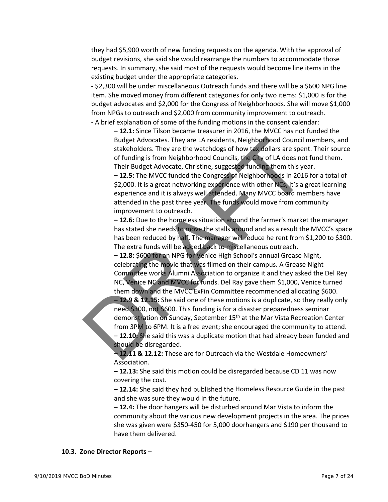they had \$5,900 worth of new funding requests on the agenda. With the approval of budget revisions, she said she would rearrange the numbers to accommodate those requests. In summary, she said most of the requests would become line items in the existing budget under the appropriate categories.

 **‐** \$2,300 will be under miscellaneous Outreach funds and there will be a \$600 NPG line item. She moved money from different categories for only two items: \$1,000 is for the budget advocates and \$2,000 for the Congress of Neighborhoods. She will move \$1,000 from NPGs to outreach and \$2,000 from community improvement to outreach. **‐** A brief explanation of some of the funding motions in the consent calendar:

o **– 12.1:** Since Tilson became treasurer in 2016, the MVCC has not funded the Budget Advocates. They are LA residents, Neighborhood Council members, and stakeholders. They are the watchdogs of how tax dollars are spent. Their source of funding is from Neighborhood Councils, the City of LA does not fund them. Their Budget Advocate, Christine, suggested funding them this year.

**–12.5:** The MVCC funded the Congress of Neighborhoods in 2016 for a total of \$2,000. It is a great networking experience with other NCs, it's a great learning experience and it is always well attended. Many MVCC board members have attended in the past three year. The funds would move from community improvement to outreach.

o **– 12.6:** Due to the homeless situation around the farmer's market the manager has stated she needs to move the stalls around and as a result the MVCC's space has been reduced by half. The manager will reduce he rent from \$1,200 to \$300. The extra funds will be added back to miscellaneous outreach.

**–12.8:** \$600 for an NPG for Venice High School's annual Grease Night, celebrating the movie that was filmed on their campus. A Grease Night Committee works Alumni Association to organize it and they asked the Del Rey NC, Venice NC and MVCC for funds. Del Ray gave them \$1,000, Venice turned them down and the MVCC ExFin Committee recommended allocating \$600. o **– 12.9 & 12.15:** She said one of these motions is a duplicate, so they really only need \$300, not \$600. This funding is for a disaster preparedness seminar demonstration on Sunday, September 15<sup>th</sup> at the Mar Vista Recreation Center from 3PM to 6PM. It is a free event; she encouraged the community to attend. o **– 12.10:** She said this was a duplicate motion that had already been funded and should be disregarded.

o **– 12.11 & 12.12:** These are for Outreach via the Westdale Homeowners' Association.

o **– 12.13:** She said this motion could be disregarded because CD 11 was now covering the cost.

o **– 12.14:** She said they had published the Homeless Resource Guide in the past and she was sure they would in the future.

o **– 12.4:** The door hangers will be disturbed around Mar Vista to inform the community about the various new development projects in the area. The prices she was given were \$350‐450 for 5,000 doorhangers and \$190 per thousand to have them delivered.

## **10.3. Zone Director Reports** –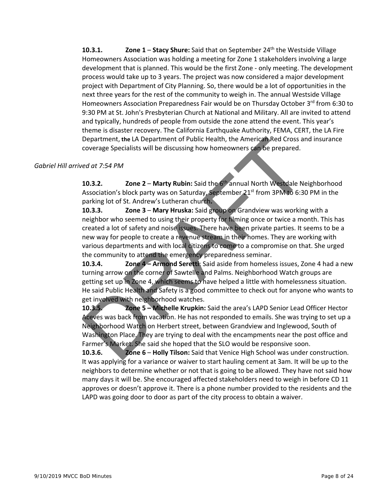**10.3.1. Zone 1** – **Stacy Shure:** Said that on September 24th the Westside Village Homeowners Association was holding a meeting for Zone 1 stakeholders involving a large development that is planned. This would be the first Zone ‐ only meeting. The development process would take up to 3 years. The project was now considered a major development project with Department of City Planning. So, there would be a lot of opportunities in the next three years for the rest of the community to weigh in. The annual Westside Village Homeowners Association Preparedness Fair would be on Thursday October 3rd from 6:30 to 9:30 PM at St. John's Presbyterian Church at National and Military. All are invited to attend and typically, hundreds of people from outside the zone attend the event. This year's theme is disaster recovery. The California Earthquake Authority, FEMA, CERT, the LA Fire Department, **the** LA Department of Public Health, the American Red Cross and insurance coverage Specialists will be discussing how homeowners can be prepared.

## *Gabriel Hill arrived at 7:54 PM*

**10.3.2. Zone 2** – **Marty Rubin:** Said the 6th annual North Westdale Neighborhood Association's block party was on Saturday, September  $21<sup>st</sup>$  from 3PM to 6:30 PM in the parking lot of St. Andrew's Lutheran church**.**

**10.3.3. Zone 3** – **Mary Hruska:** Said group on Grandview was working with a neighbor who seemed to using their property for filming once or twice a month. This has created a lot of safety and noise issues. There have been private parties. It seems to be a new way for people to create a revenue stream in their homes. They are working with various departments and with local citizens to come to a compromise on that. She urged the community to attend the emergency preparedness seminar.

**10.3.4. Zone 4 – Armond Seretti**: Said aside from homeless issues, Zone 4 had a new turning arrow on the corner of Sawtelle and Palms. Neighborhood Watch groups are getting set up in Zone 4, which seems to have helped a little with homelessness situation. He said Public Health and Safety is a good committee to check out for anyone who wants to get involved with neighborhood watches.

**10.3.5. Zone 5 – Michelle Krupkin:** Said the area's LAPD Senior Lead Officer Hector Aceves was back from vacation. He has not responded to emails. She was trying to set up a Neighborhood Watch on Herbert street, between Grandview and Inglewood, South of Washington Place. They are trying to deal with the encampments near the post office and Farmer's Market. She said she hoped that the SLO would be responsive soon.

**10.3.6. Zone 6** – **Holly Tilson:** Said that Venice High School was under construction. It was applying for a variance or waiver to start hauling cement at 3am. It will be up to the neighbors to determine whether or not that is going to be allowed. They have not said how many days it will be. She encouraged affected stakeholders need to weigh in before CD 11 approves or doesn't approve it. There is a phone number provided to the residents and the LAPD was going door to door as part of the city process to obtain a waiver.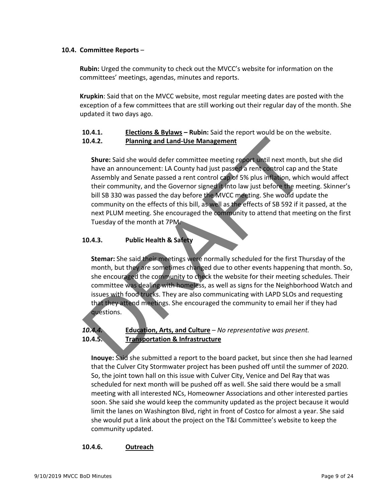## **10.4. Committee Reports** –

 **Rubin:** Urged the community to check out the MVCC's website for information on the committees' meetings, agendas, minutes and reports.

 **Krupkin**: Said that on the MVCC website, most regular meeting dates are posted with the exception of a few committees that are still working out their regular day of the month. She updated it two days ago.

## **10.4.1. Elections & Bylaws – Rubin:** Said the report would be on the website.

## **10.4.2. Planning and Land‐Use Management**

 **Shure:** Said she would defer committee meeting report until next month, but she did have an announcement: LA County had just passed a rent control cap and the State Assembly and Senate passed a rent control cap of 5% plus inflation, which would affect their community, and the Governor signed it into law just before the meeting. Skinner's bill SB 330 was passed the day before the MVCC meeting. She would update the community on the effects of this bill, as well as the effects of SB 592 if it passed, at the next PLUM meeting. She encouraged the community to attend that meeting on the first Tuesday of the month at 7PM.

## **10.4.3. Public Health & Safety**

 **Stemar:** She said their meetings were normally scheduled for the first Thursday of the month, but they are sometimes changed due to other events happening that month. So, she encouraged the community to check the website for their meeting schedules. Their committee was dealing with homeless, as well as signs for the Neighborhood Watch and issues with food trucks. They are also communicating with LAPD SLOs and requesting that they attend meetings. She encouraged the community to email her if they had questions.

## *10.4.4.* **Education, Arts, and Culture** – *No representative was present.* **10.4.5. Transportation & Infrastructure**

 **Inouye:** Said she submitted a report to the board packet, but since then she had learned that the Culver City Stormwater project has been pushed off until the summer of 2020. So, the joint town hall on this issue with Culver City, Venice and Del Ray that was scheduled for next month will be pushed off as well. She said there would be a small meeting with all interested NCs, Homeowner Associations and other interested parties soon. She said she would keep the community updated as the project because it would limit the lanes on Washington Blvd, right in front of Costco for almost a year. She said she would put a link about the project on the T&I Committee's website to keep the community updated.

## **10.4.6. Outreach**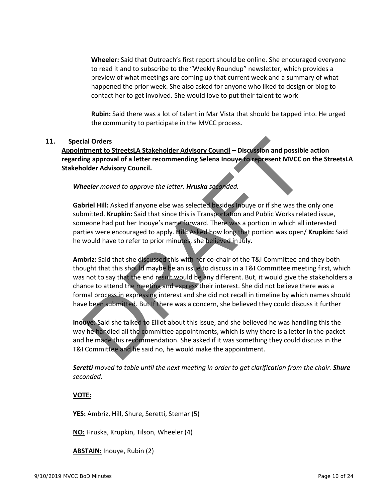**Wheeler:** Said that Outreach's first report should be online. She encouraged everyone to read it and to subscribe to the "Weekly Roundup" newsletter, which provides a preview of what meetings are coming up that current week and a summary of what happened the prior week. She also asked for anyone who liked to design or blog to contact her to get involved. She would love to put their talent to work

 **Rubin:** Said there was a lot of talent in Mar Vista that should be tapped into. He urged the community to participate in the MVCC process.

## **11. Special Orders**

**Appointment to StreetsLA Stakeholder Advisory Council – Discussion and possible action regarding approval of a letter recommending Selena Inouye to represent MVCC on the StreetsLA Stakeholder Advisory Council.**

*Wheeler moved to approve the letter. Hruska seconded.* 

 **Gabriel Hill:** Asked if anyone else was selected besides Inouye or if she was the only one submitted. **Krupkin:** Said that since this is Transportation and Public Works related issue, someone had put her Inouye's name forward. There was a portion in which all interested parties were encouraged to apply. **Hill:** Asked how long that portion was open/ **Krupkin:** Said he would have to refer to prior minutes, she believed in July.

 **Ambriz:** Said that she discussed this with her co‐chair of the T&I Committee and they both thought that this should maybe be an issue to discuss in a T&I Committee meeting first, which was not to say that the end result would be any different. But, it would give the stakeholders a chance to attend the meeting and express their interest. She did not believe there was a formal process in expressing interest and she did not recall in timeline by which names should have been submitted. But If there was a concern, she believed they could discuss it further

 **Inouye:** Said she talked to Elliot about this issue, and she believed he was handling this the way he handled all the committee appointments, which is why there is a letter in the packet and he made this recommendation. She asked if it was something they could discuss in the T&I Committee and he said no, he would make the appointment.

 *Seretti moved to table until the next meeting in order to get clarification from the chair. Shure seconded.* 

## **VOTE:**

**YES:** Ambriz, Hill, Shure, Seretti, Stemar (5)

**NO:** Hruska, Krupkin, Tilson, Wheeler (4)

**ABSTAIN:** Inouye, Rubin (2)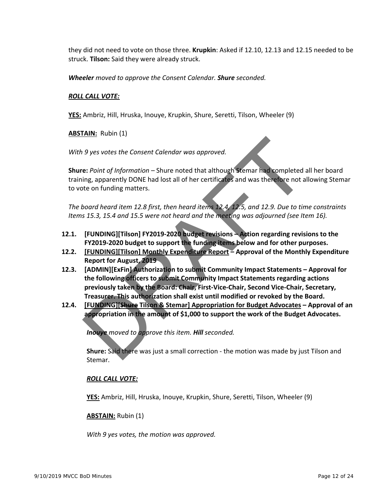they did not need to vote on those three. **Krupkin**: Asked if 12.10, 12.13 and 12.15 needed to be struck. **Tilson:** Said they were already struck.

*Wheeler moved to approve the Consent Calendar. Shure seconded.* 

## *ROLL CALL VOTE:*

**YES:** Ambriz, Hill, Hruska, Inouye, Krupkin, Shure, Seretti, Tilson, Wheeler (9)

**ABSTAIN:** Rubin (1)

*With 9 yes votes the Consent Calendar was approved.*

 **Shure:** *Point of Information –* Shure noted that although Stemar had completed all her board training, apparently DONE had lost all of her certificates and was therefore not allowing Stemar to vote on funding matters.

 *The board heard item 12.8 first, then heard items 12.4, 12.5, and 12.9. Due to time constraints Items 15.3, 15.4 and 15.5 were not heard and the meeting was adjourned (see Item 16).*

- **12.1. [FUNDING][Tilson] FY2019‐2020 budget revisions – Action regarding revisions to the FY2019‐2020 budget to support the funding items below and for other purposes.**
- **12.2. [FUNDING][Tilson] Monthly Expenditure Report – Approval of the Monthly Expenditure Report for August, 2019**
- **12.3. [ADMIN][ExFin] Authorization to submit Community Impact Statements – Approval for the following officers to submit Community Impact Statements regarding actions previously taken by the Board: Chair, First‐Vice‐Chair, Second Vice‐Chair, Secretary, Treasurer. This authorization shall exist until modified or revoked by the Board.**
- **12.4. [FUNDING][Shure Tilson & Stemar] Appropriation for Budget Advocates – Approval of an appropriation in the amount of \$1,000 to support the work of the Budget Advocates.**

*Inouye moved to approve this item. Hill seconded.* 

 **Shure:** Said there was just a small correction ‐ the motion was made by just Tilson and Stemar.

## *ROLL CALL VOTE:*

**YES:** Ambriz, Hill, Hruska, Inouye, Krupkin, Shure, Seretti, Tilson, Wheeler (9)

## **ABSTAIN:** Rubin (1)

*With 9 yes votes, the motion was approved.*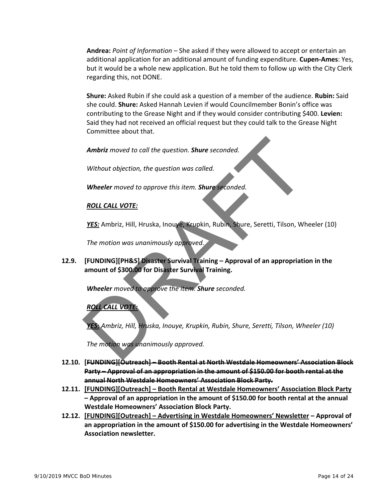**Andrea:** *Point of Information –* She asked if they were allowed to accept or entertain an additional application for an additional amount of funding expenditure. **Cupen‐Ames**: Yes, but it would be a whole new application. But he told them to follow up with the City Clerk regarding this, not DONE.

 **Shure:** Asked Rubin if she could ask a question of a member of the audience. **Rubin:** Said she could. **Shure:** Asked Hannah Levien if would Councilmember Bonin's office was contributing to the Grease Night and if they would consider contributing \$400. **Levien:** Said they had not received an official request but they could talk to the Grease Night Committee about that.

*Ambriz moved to call the question. Shure seconded.* 

*Without objection, the question was called.*

*Wheeler moved to approve this item. Shure seconded.*

## *ROLL CALL VOTE:*

*YES:* Ambriz, Hill, Hruska, Inouye, Krupkin, Rubin, Shure, Seretti, Tilson, Wheeler (10)

*The motion was unanimously approved.*

## **12.9. [FUNDING][PH&S] Disaster Survival Training – Approval of an appropriation in the amount of \$300.00 for Disaster Survival Training.**

*Wheeler moved to approve the item. Shure seconded.* 

## *ROLL CALL VOTE:*

*YES: Ambriz, Hill, Hruska, Inouye, Krupkin, Rubin, Shure, Seretti, Tilson, Wheeler (10)*

*The motion was unanimously approved.*

- **12.10. [FUNDING][Outreach] – Booth Rental at North Westdale Homeowners' Association Block Party – Approval of an appropriation in the amount of \$150.00 for booth rental at the annual North Westdale Homeowners' Association Block Party.**
- **12.11. [FUNDING][Outreach] – Booth Rental at Westdale Homeowners' Association Block Party – Approval of an appropriation in the amount of \$150.00 for booth rental at the annual Westdale Homeowners' Association Block Party.**
- **12.12. [FUNDING][Outreach] – Advertising in Westdale Homeowners' Newsletter – Approval of an appropriation in the amount of \$150.00 for advertising in the Westdale Homeowners' Association newsletter.**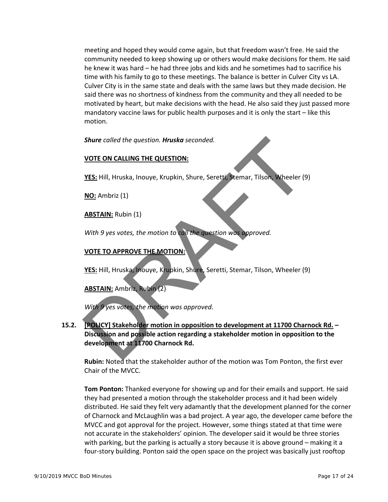meeting and hoped they would come again, but that freedom wasn't free. He said the community needed to keep showing up or others would make decisions for them. He said he knew it was hard – he had three jobs and kids and he sometimes had to sacrifice his time with his family to go to these meetings. The balance is better in Culver City vs LA. Culver City is in the same state and deals with the same laws but they made decision. He said there was no shortness of kindness from the community and they all needed to be motivated by heart, but make decisions with the head. He also said they just passed more mandatory vaccine laws for public health purposes and it is only the start – like this motion.

*Shure called the question. Hruska seconded.* 

## **VOTE ON CALLING THE QUESTION:**

**YES:** Hill, Hruska, Inouye, Krupkin, Shure, Seretti, Stemar, Tilson, Wheeler (9)

**NO:** Ambriz (1)

**ABSTAIN:** Rubin (1)

*With 9 yes votes, the motion to call the question was approved.* 

## **VOTE TO APPROVE THE MOTION:**

**YES:** Hill, Hruska, Inouye, Krupkin, Shure, Seretti, Stemar, Tilson, Wheeler (9)

**ABSTAIN:** Ambriz, Rubin (2)

*With 9 yes votes, the motion was approved.* 

**15.2. [POLICY] Stakeholder motion in opposition to development at 11700 Charnock Rd. – Discussion and possible action regarding a stakeholder motion in opposition to the development at 11700 Charnock Rd.**

 **Rubin:** Noted that the stakeholder author of the motion was Tom Ponton, the first ever Chair of the MVCC.

 **Tom Ponton:** Thanked everyone for showing up and for their emails and support. He said they had presented a motion through the stakeholder process and it had been widely distributed. He said they felt very adamantly that the development planned for the corner of Charnock and McLaughlin was a bad project. A year ago, the developer came before the MVCC and got approval for the project. However, some things stated at that time were not accurate in the stakeholders' opinion. The developer said it would be three stories with parking, but the parking is actually a story because it is above ground – making it a four-story building. Ponton said the open space on the project was basically just rooftop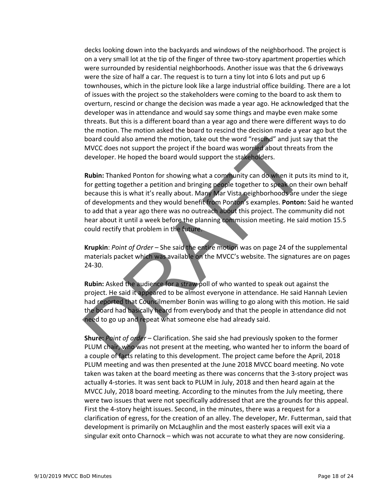decks looking down into the backyards and windows of the neighborhood. The project is on a very small lot at the tip of the finger of three two-story apartment properties which were surrounded by residential neighborhoods. Another issue was that the 6 driveways were the size of half a car. The request is to turn a tiny lot into 6 lots and put up 6 townhouses, which in the picture look like a large industrial office building. There are a lot of issues with the project so the stakeholders were coming to the board to ask them to overturn, rescind or change the decision was made a year ago. He acknowledged that the developer was in attendance and would say some things and maybe even make some threats. But this is a different board than a year ago and there were different ways to do the motion. The motion asked the board to rescind the decision made a year ago but the board could also amend the motion, take out the word "rescind" and just say that the MVCC does not support the project if the board was worried about threats from the developer. He hoped the board would support the stakeholders.

 **Rubin:** Thanked Ponton for showing what a community can do when it puts its mind to it, for getting together a petition and bringing people together to speak on their own behalf because this is what it's really about. Many Mar Vista neighborhoods are under the siege of developments and they would benefit from Ponton's examples. **Ponton:** Said he wanted to add that a year ago there was no outreach about this project. The community did not hear about it until a week before the planning commission meeting. He said motion 15.5 could rectify that problem in the future.

 **Krupkin**: *Point of Order –* She said the entire motion was on page 24 of the supplemental materials packet which was available on the MVCC's website. The signatures are on pages 24‐30.

 **Rubin:** Asked the audience for a straw poll of who wanted to speak out against the project. He said it appeared to be almost everyone in attendance. He said Hannah Levien had reported that Councilmember Bonin was willing to go along with this motion. He said the board had basically heard from everybody and that the people in attendance did not need to go up and repeat what someone else had already said.

 **Shure:** *Point of order* – Clarification. She said she had previously spoken to the former PLUM chair, who was not present at the meeting, who wanted her to inform the board of a couple of facts relating to this development. The project came before the April, 2018 PLUM meeting and was then presented at the June 2018 MVCC board meeting. No vote taken was taken at the board meeting as there was concerns that the 3‐story project was actually 4‐stories. It was sent back to PLUM in July, 2018 and then heard again at the MVCC July, 2018 board meeting. According to the minutes from the July meeting, there were two issues that were not specifically addressed that are the grounds for this appeal. First the 4‐story height issues. Second, in the minutes, there was a request for a clarification of egress, for the creation of an alley. The developer, Mr. Futterman, said that development is primarily on McLaughlin and the most easterly spaces will exit via a singular exit onto Charnock – which was not accurate to what they are now considering.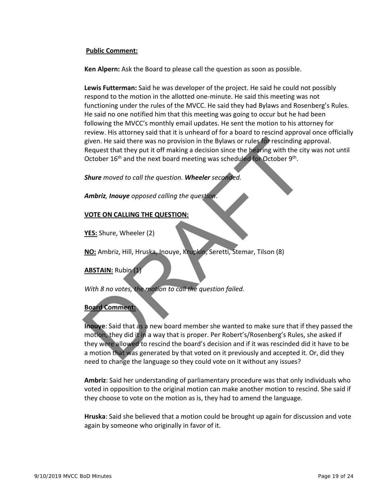## **Public Comment:**

**Ken Alpern:** Ask the Board to please call the question as soon as possible.

 **Lewis Futterman:** Said he was developer of the project. He said he could not possibly respond to the motion in the allotted one‐minute. He said this meeting was not functioning under the rules of the MVCC. He said they had Bylaws and Rosenberg's Rules. He said no one notified him that this meeting was going to occur but he had been following the MVCC's monthly email updates. He sent the motion to his attorney for review. His attorney said that it is unheard of for a board to rescind approval once officially given. He said there was no provision in the Bylaws or rules for rescinding approval. Request that they put it off making a decision since the hearing with the city was not until October  $16<sup>th</sup>$  and the next board meeting was scheduled for October 9<sup>th</sup>.

*Shure moved to call the question. Wheeler seconded.*

*Ambriz, Inouye opposed calling the question*.

## **VOTE ON CALLING THE QUESTION:**

**YES:** Shure, Wheeler (2)

**NO:** Ambriz, Hill, Hruska, Inouye, Krupkin, Seretti, Stemar, Tilson (8)

**ABSTAIN:** Rubin (1)

*With 8 no votes, the motion to call the question failed.* 

#### **Board Comment:**

 **Inouye**: Said that as a new board member she wanted to make sure that if they passed the motion, they did it in a way that is proper. Per Robert's/Rosenberg's Rules, she asked if they were allowed to rescind the board's decision and if it was rescinded did it have to be a motion that was generated by that voted on it previously and accepted it. Or, did they need to change the language so they could vote on it without any issues?

 **Ambriz**: Said her understanding of parliamentary procedure was that only individuals who voted in opposition to the original motion can make another motion to rescind. She said if they choose to vote on the motion as is, they had to amend the language.

 **Hruska**: Said she believed that a motion could be brought up again for discussion and vote again by someone who originally in favor of it.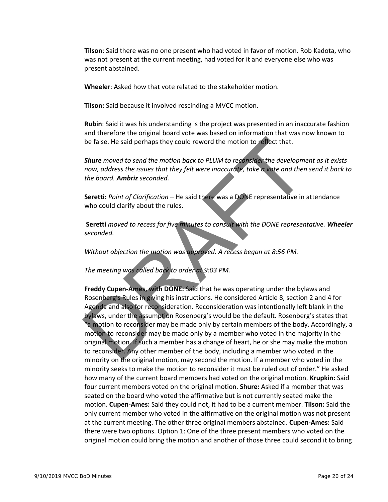**Tilson**: Said there was no one present who had voted in favor of motion. Rob Kadota, who was not present at the current meeting, had voted for it and everyone else who was present abstained.

**Wheeler**: Asked how that vote related to the stakeholder motion.

**Tilson:** Said because it involved rescinding a MVCC motion.

 **Rubin**: Said it was his understanding is the project was presented in an inaccurate fashion and therefore the original board vote was based on information that was now known to be false. He said perhaps they could reword the motion to reflect that.

 *Shure moved to send the motion back to PLUM to reconsider the development as it exists now, address the issues that they felt were inaccurate, take a vote and then send it back to the board. Ambriz seconded.*

 **Seretti:** *Point of Clarification –* He said there was a DONE representative in attendance who could clarify about the rules.

 **Seretti** *moved to recess for five minutes to consult with the DONE representative. Wheeler seconded.*

*Without objection the motion was approved. A recess began at 8:56 PM.*

*The meeting was called back to order at 9:03 PM.*

 **Freddy Cupen‐Ames, with DONE:** Said that he was operating under the bylaws and Rosenberg's Rules in giving his instructions. He considered Article 8, section 2 and 4 for Agenda and also for reconsideration. Reconsideration was intentionally left blank in the bylaws, under the assumption Rosenberg's would be the default. Rosenberg's states that "a motion to reconsider may be made only by certain members of the body. Accordingly, a motion to reconsider may be made only by a member who voted in the majority in the original motion. If such a member has a change of heart, he or she may make the motion to reconsider. Any other member of the body, including a member who voted in the minority on the original motion, may second the motion. If a member who voted in the minority seeks to make the motion to reconsider it must be ruled out of order." He asked how many of the current board members had voted on the original motion. **Krupkin:** Said four current members voted on the original motion. **Shure:** Asked if a member that was seated on the board who voted the affirmative but is not currently seated make the motion. **Cupen‐Ames:** Said they could not, it had to be a current member. **Tilson:** Said the only current member who voted in the affirmative on the original motion was not present at the current meeting. The other three original members abstained. **Cupen‐Ames:** Said there were two options. Option 1: One of the three present members who voted on the original motion could bring the motion and another of those three could second it to bring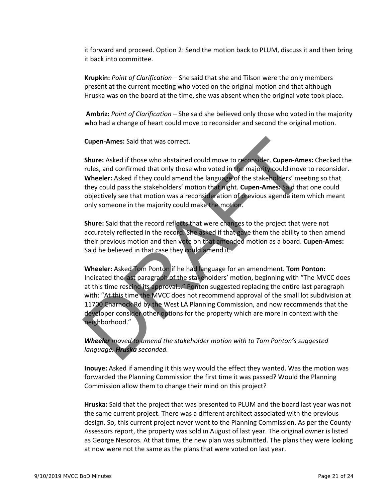it forward and proceed. Option 2: Send the motion back to PLUM, discuss it and then bring it back into committee.

 **Krupkin:** *Point of Clarification –* She said that she and Tilson were the only members present at the current meeting who voted on the original motion and that although Hruska was on the board at the time, she was absent when the original vote took place.

 **Ambriz:** *Point of Clarification –* She said she believed only those who voted in the majority who had a change of heart could move to reconsider and second the original motion.

**Cupen‐Ames:** Said that was correct.

 **Shure:** Asked if those who abstained could move to reconsider. **Cupen‐Ames:** Checked the rules, and confirmed that only those who voted in the majority could move to reconsider. **Wheeler:** Asked if they could amend the language of the stakeholders' meeting so that they could pass the stakeholders' motion that night. **Cupen‐Ames:** Said that one could objectively see that motion was a reconsideration of previous agenda item which meant only someone in the majority could make the motion.

**Shure:** Said that the record reflects that there were changes to the project that were not accurately reflected in the record. She asked if that gave them the ability to then amend their previous motion and then vote on that amended motion as a board. **Cupen‐Ames:** Said he believed in that case they could amend it.

**Wheeler:** Asked Tom Ponton if he had language for an amendment. **Tom Ponton:** Indicated the last paragraph of the stakeholders' motion, beginning with "The MVCC does at this time rescind its approval…" Ponton suggested replacing the entire last paragraph with: "At this time the MVCC does not recommend approval of the small lot subdivision at 11700 Charnock Rd by the West LA Planning Commission, and now recommends that the developer consider other options for the property which are more in context with the neighborhood."

*Wheeler moved to amend the stakeholder motion with to Tom Ponton's suggested language. Hruska seconded.*

**Inouye:** Asked if amending it this way would have the effect they wanted. Was the motion was forwarded the Planning Commission the first time it was passed? Would the Planning Commission allow them to change their mind on this project?

**Hruska:** Said that the project that was presented to PLUM and the board last year was not the same as the current project. There was a different architect associated with the previous design. So, this current project never went to the Planning Commission. As per the County Assessors report, the property was sold in August of last year. The original owner is listed as George Noutsios. After the sale, the new plan was submitted. The plans they were looking at now were not the same as the plans that were voted on last year.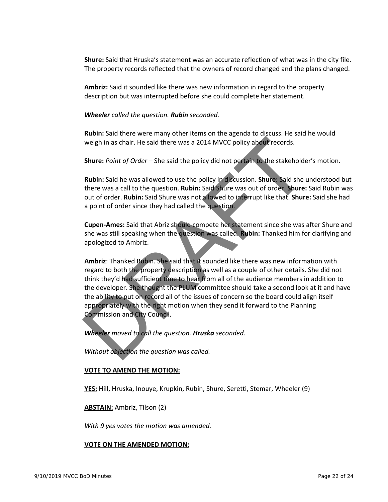**Shure:** Said that Hruska's statement was an accurate reflection of what was in the city file. The property records reflected that the owners of record changed and the plans changed.

**Ambriz:** Said it sounded like there was new information in regard to the property description but was interrupted before she could complete her statement.

*Wheeler called the question. Rubin seconded.* 

**Rubin:** Said there were many other items on the agenda to discuss. He said he would weigh in as chair. He said there was a 2014 MVCC policy on record.

**Shure:** *Point of Order –* She said the policy did not pertain to the stakeholder's motion.

**Rubin:** Said he was allowed to use the policy in discussion. **Shure:** Said she understood but there was a call to the question. **Rubin:** Said Shure was out of order. **Shure:** Said Rubin was out of order. **Rubin:** Said Shure was not allowed to interrupt like that. **Shure:** Said she had a point of order since they had called the question.

**Cupen‐Ames:** Said that Abriz should compete her statement since she was after Shure and she was still speaking when the question was called. **Rubin:** Thanked him for clarifying and apologized to Ambriz.

**Ambriz**: Thanked Rubin. She said that it sounded like there was new information with regard to both the property description as well as a couple of other details. She did not think they'd had sufficient time to hear from all of the audience members in addition to the developer. She thought the PLUM committee should take a second look at it and have the ability to put on record all of the issues of concern so the board could align itself appropriately with the right motion when they send it forward to the Planning Commission and City Council.

*Wheeler moved to call the question. Hruska seconded.* 

*Without objection the question was called.*

## **VOTE TO AMEND THE MOTION:**

**YES:** Hill, Hruska, Inouye, Krupkin, Rubin, Shure, Seretti, Stemar, Wheeler (9)

**ABSTAIN:** Ambriz, Tilson (2)

*With 9 yes votes the motion was amended.*

#### **VOTE ON THE AMENDED MOTION:**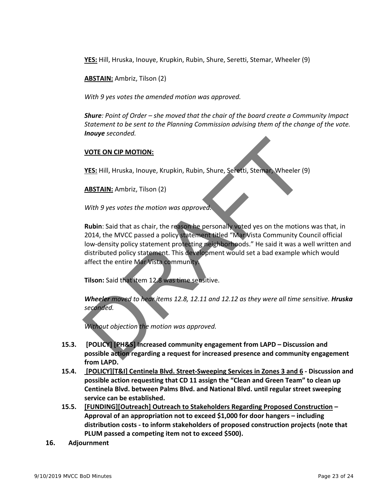**YES:** Hill, Hruska, Inouye, Krupkin, Rubin, Shure, Seretti, Stemar, Wheeler (9)

**ABSTAIN:** Ambriz, Tilson (2)

*With 9 yes votes the amended motion was approved.* 

*Shure: Point of Order – she moved that the chair of the board create a Community Impact Statement to be sent to the Planning Commission advising them of the change of the vote. Inouye seconded.* 

## **VOTE ON CIS MOTION:**

**YES:** Hill, Hruska, Inouye, Krupkin, Rubin, Shure, Seretti, Stemar, Wheeler (9)

**ABSTAIN:** Ambriz, Tilson (2)

*With 9 yes votes the motion was approved.* 

**Rubin**: Said that as chair, the reason he personally voted yes on the motions was that, in 2014, the MVCC passed a policy statement titled "Mar Vista Community Council official low‐density policy statement protecting neighborhoods." He said it was a well written and distributed policy statement. This development would set a bad example which would affect the entire Mar Vista community.

**Tilson:** Said that item 12.8 was time sensitive.

*Wheeler moved to hear items 12.8, 12.11 and 12.12 as they were all time sensitive. Hruska seconded.* 

*Without objection the motion was approved.*

- **15.3. [POLICY] [PH&S] Increased community engagement from LAPD – Discussion and possible action regarding a request for increased presence and community engagement from LAPD.**
- **15.4. [POLICY][T&I] Centinela Blvd. Street‐Sweeping Services in Zones 3 and 6 ‐ Discussion and possible action requesting that CD 11 assign the "Clean and Green Team" to clean up Centinela Blvd. between Palms Blvd. and National Blvd. until regular street sweeping service can be established.**
- **15.5. [FUNDING][Outreach] Outreach to Stakeholders Regarding Proposed Construction – Approval of an appropriation not to exceed \$1,000 for door hangers – including distribution costs ‐ to inform stakeholders of proposed construction projects (note that PLUM passed a competing item not to exceed \$500).**
- **16. Adjournment**